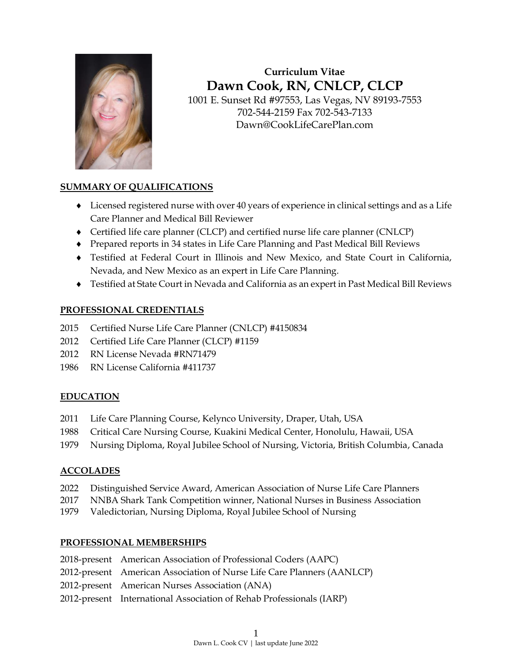

# **Curriculum Vitae Dawn Cook, RN, CNLCP, CLCP**

1001 E. Sunset Rd #97553, Las Vegas, NV 89193-7553 702-544-2159 Fax 702-543-7133 Dawn@CookLifeCarePlan.com

## **SUMMARY OF QUALIFICATIONS**

- Licensed registered nurse with over 40 years of experience in clinical settings and as a Life Care Planner and Medical Bill Reviewer
- Certified life care planner (CLCP) and certified nurse life care planner (CNLCP)
- Prepared reports in 34 states in Life Care Planning and Past Medical Bill Reviews
- Testified at Federal Court in Illinois and New Mexico, and State Court in California, Nevada, and New Mexico as an expert in Life Care Planning.
- Testified at State Court in Nevada and California as an expert in Past Medical Bill Reviews

## **PROFESSIONAL CREDENTIALS**

- 2015 Certified Nurse Life Care Planner (CNLCP) #4150834
- 2012 Certified Life Care Planner (CLCP) #1159
- 2012 RN License Nevada #RN71479
- 1986 RN License California #411737

### **EDUCATION**

- 2011 Life Care Planning Course, Kelynco University, Draper, Utah, USA
- 1988 Critical Care Nursing Course, Kuakini Medical Center, Honolulu, Hawaii, USA
- 1979 Nursing Diploma, Royal Jubilee School of Nursing, Victoria, British Columbia, Canada

## **ACCOLADES**

- 2022 Distinguished Service Award, American Association of Nurse Life Care Planners
- 2017 NNBA Shark Tank Competition winner, National Nurses in Business Association
- 1979 Valedictorian, Nursing Diploma, Royal Jubilee School of Nursing

### **PROFESSIONAL MEMBERSHIPS**

- 2018-present American Association of Professional Coders (AAPC)
- 2012-present American Association of Nurse Life Care Planners (AANLCP)
- 2012-present American Nurses Association (ANA)
- 2012-present International Association of Rehab Professionals (IARP)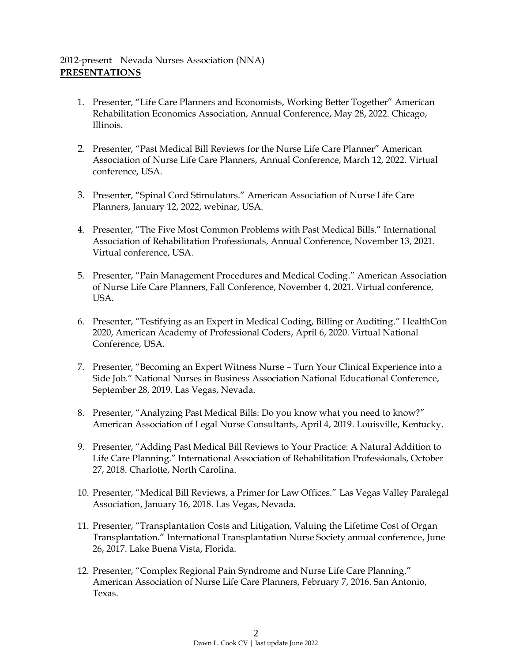## 2012-present Nevada Nurses Association (NNA) **PRESENTATIONS**

- 1. Presenter, "Life Care Planners and Economists, Working Better Together" American Rehabilitation Economics Association, Annual Conference, May 28, 2022. Chicago, Illinois.
- 2. Presenter, "Past Medical Bill Reviews for the Nurse Life Care Planner" American Association of Nurse Life Care Planners, Annual Conference, March 12, 2022. Virtual conference, USA.
- 3. Presenter, "Spinal Cord Stimulators." American Association of Nurse Life Care Planners, January 12, 2022, webinar, USA.
- 4. Presenter, "The Five Most Common Problems with Past Medical Bills." International Association of Rehabilitation Professionals, Annual Conference, November 13, 2021. Virtual conference, USA.
- 5. Presenter, "Pain Management Procedures and Medical Coding." American Association of Nurse Life Care Planners, Fall Conference, November 4, 2021. Virtual conference, USA.
- 6. Presenter, "Testifying as an Expert in Medical Coding, Billing or Auditing." HealthCon 2020, American Academy of Professional Coders, April 6, 2020. Virtual National Conference, USA.
- 7. Presenter, "Becoming an Expert Witness Nurse Turn Your Clinical Experience into a Side Job." National Nurses in Business Association National Educational Conference, September 28, 2019. Las Vegas, Nevada.
- 8. Presenter, "Analyzing Past Medical Bills: Do you know what you need to know?" American Association of Legal Nurse Consultants, April 4, 2019. Louisville, Kentucky.
- 9. Presenter, "Adding Past Medical Bill Reviews to Your Practice: A Natural Addition to Life Care Planning." International Association of Rehabilitation Professionals, October 27, 2018. Charlotte, North Carolina.
- 10. Presenter, "Medical Bill Reviews, a Primer for Law Offices." Las Vegas Valley Paralegal Association, January 16, 2018. Las Vegas, Nevada.
- 11. Presenter, "Transplantation Costs and Litigation, Valuing the Lifetime Cost of Organ Transplantation." International Transplantation Nurse Society annual conference, June 26, 2017. Lake Buena Vista, Florida.
- 12. Presenter, "Complex Regional Pain Syndrome and Nurse Life Care Planning." American Association of Nurse Life Care Planners, February 7, 2016. San Antonio, Texas.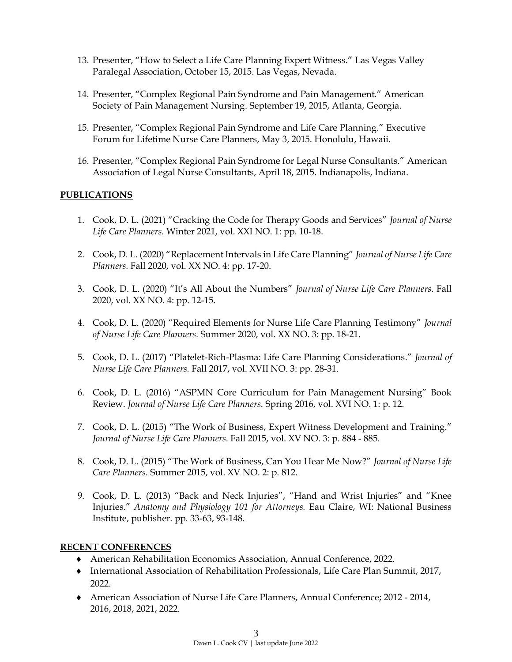- 13. Presenter, "How to Select a Life Care Planning Expert Witness." Las Vegas Valley Paralegal Association, October 15, 2015. Las Vegas, Nevada.
- 14. Presenter, "Complex Regional Pain Syndrome and Pain Management." American Society of Pain Management Nursing. September 19, 2015, Atlanta, Georgia.
- 15. Presenter, "Complex Regional Pain Syndrome and Life Care Planning." Executive Forum for Lifetime Nurse Care Planners, May 3, 2015. Honolulu, Hawaii.
- 16. Presenter, "Complex Regional Pain Syndrome for Legal Nurse Consultants." American Association of Legal Nurse Consultants, April 18, 2015. Indianapolis, Indiana.

#### **PUBLICATIONS**

- 1. Cook, D. L. (2021) "Cracking the Code for Therapy Goods and Services" *Journal of Nurse Life Care Planners.* Winter 2021, vol. XXI NO. 1: pp. 10-18.
- 2. Cook, D. L. (2020) "Replacement Intervals in Life Care Planning" *Journal of Nurse Life Care Planners.* Fall 2020, vol. XX NO. 4: pp. 17-20.
- 3. Cook, D. L. (2020) "It's All About the Numbers" *Journal of Nurse Life Care Planners.* Fall 2020, vol. XX NO. 4: pp. 12-15.
- 4. Cook, D. L. (2020) "Required Elements for Nurse Life Care Planning Testimony" *Journal of Nurse Life Care Planners.* Summer 2020, vol. XX NO. 3: pp. 18-21.
- 5. Cook, D. L. (2017) "Platelet-Rich-Plasma: Life Care Planning Considerations." *Journal of Nurse Life Care Planners.* Fall 2017, vol. XVII NO. 3: pp. 28-31.
- 6. Cook, D. L. (2016) "ASPMN Core Curriculum for Pain Management Nursing" Book Review. *Journal of Nurse Life Care Planners.* Spring 2016, vol. XVI NO. 1: p. 12.
- 7. Cook, D. L. (2015) "The Work of Business, Expert Witness Development and Training." *Journal of Nurse Life Care Planners.* Fall 2015, vol. XV NO. 3: p. 884 - 885.
- 8. Cook, D. L. (2015) "The Work of Business, Can You Hear Me Now?" *Journal of Nurse Life Care Planners.* Summer 2015, vol. XV NO. 2: p. 812.
- 9. Cook, D. L. (2013) "Back and Neck Injuries", "Hand and Wrist Injuries" and "Knee Injuries." *Anatomy and Physiology 101 for Attorneys.* Eau Claire, WI: National Business Institute, publisher. pp. 33-63, 93-148.

#### **RECENT CONFERENCES**

- American Rehabilitation Economics Association, Annual Conference, 2022.
- International Association of Rehabilitation Professionals, Life Care Plan Summit, 2017, 2022.
- American Association of Nurse Life Care Planners, Annual Conference; 2012 2014, 2016, 2018, 2021, 2022.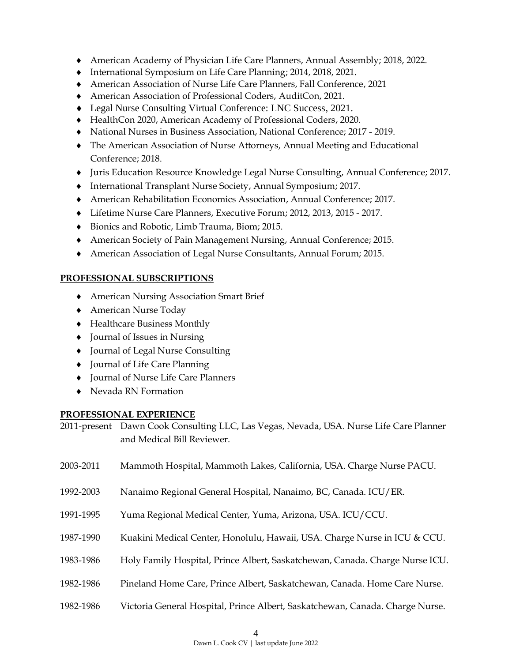- American Academy of Physician Life Care Planners, Annual Assembly; 2018, 2022.
- International Symposium on Life Care Planning; 2014, 2018, 2021.
- American Association of Nurse Life Care Planners, Fall Conference, 2021
- American Association of Professional Coders, AuditCon, 2021.
- Legal Nurse Consulting Virtual Conference: LNC Success, 2021.
- HealthCon 2020, American Academy of Professional Coders, 2020.
- National Nurses in Business Association, National Conference; 2017 2019.
- The American Association of Nurse Attorneys, Annual Meeting and Educational Conference; 2018.
- Juris Education Resource Knowledge Legal Nurse Consulting, Annual Conference; 2017.
- International Transplant Nurse Society, Annual Symposium; 2017.
- American Rehabilitation Economics Association, Annual Conference; 2017.
- Lifetime Nurse Care Planners, Executive Forum; 2012, 2013, 2015 2017.
- Bionics and Robotic, Limb Trauma, Biom; 2015.
- American Society of Pain Management Nursing, Annual Conference; 2015.
- American Association of Legal Nurse Consultants, Annual Forum; 2015.

#### **PROFESSIONAL SUBSCRIPTIONS**

- American Nursing Association Smart Brief
- American Nurse Today
- Healthcare Business Monthly
- Journal of Issues in Nursing
- Journal of Legal Nurse Consulting
- Journal of Life Care Planning
- Journal of Nurse Life Care Planners
- ◆ Nevada RN Formation

#### **PROFESSIONAL EXPERIENCE**

2011-present Dawn Cook Consulting LLC, Las Vegas, Nevada, USA. Nurse Life Care Planner and Medical Bill Reviewer.

- 2003-2011 Mammoth Hospital, Mammoth Lakes, California, USA. Charge Nurse PACU.
- 1992-2003 Nanaimo Regional General Hospital, Nanaimo, BC, Canada. ICU/ER.
- 1991-1995 Yuma Regional Medical Center, Yuma, Arizona, USA. ICU/CCU.
- 1987-1990 Kuakini Medical Center, Honolulu, Hawaii, USA. Charge Nurse in ICU & CCU.
- 1983-1986 Holy Family Hospital, Prince Albert, Saskatchewan, Canada. Charge Nurse ICU.
- 1982-1986 Pineland Home Care, Prince Albert, Saskatchewan, Canada. Home Care Nurse.
- 1982-1986 Victoria General Hospital, Prince Albert, Saskatchewan, Canada. Charge Nurse.